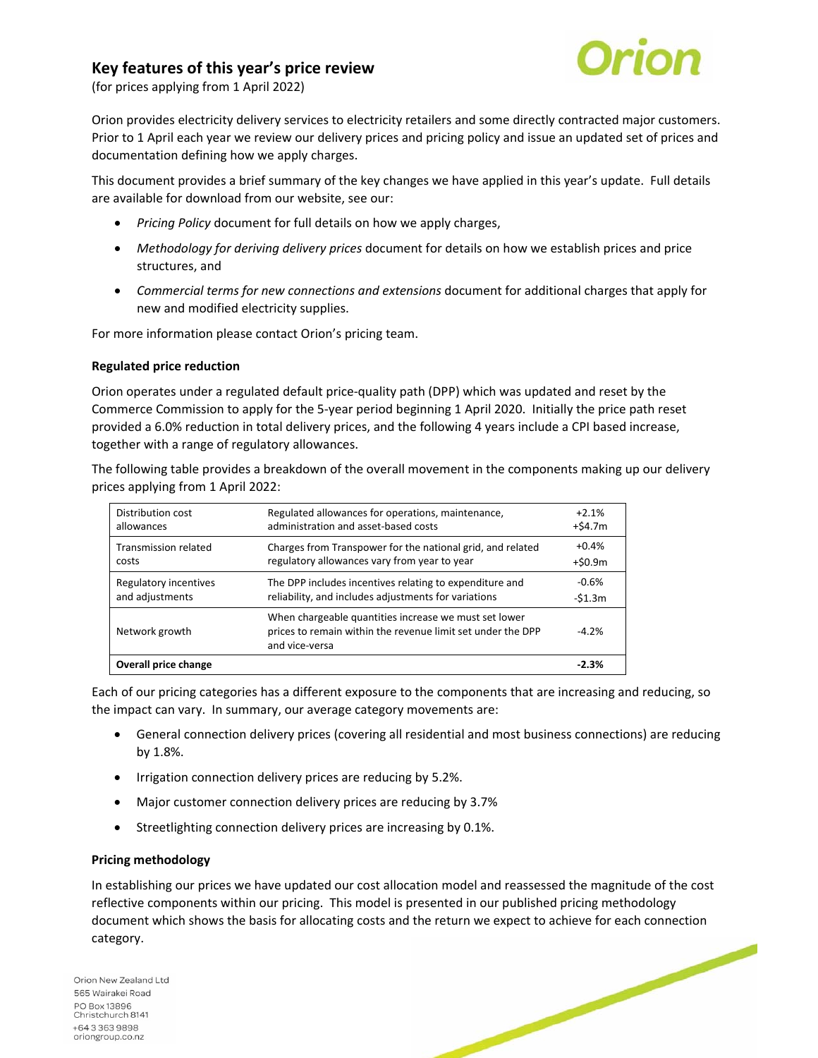# **Key features of this year's price review**



(for prices applying from 1 April 2022)

Orion provides electricity delivery services to electricity retailers and some directly contracted major customers. Prior to 1 April each year we review our delivery prices and pricing policy and issue an updated set of prices and documentation defining how we apply charges.

This document provides a brief summary of the key changes we have applied in this year's update. Full details are available for download from our website, see our:

- *Pricing Policy* document for full details on how we apply charges,
- *Methodology for deriving delivery prices* document for details on how we establish prices and price structures, and
- *Commercial terms for new connections and extensions* document for additional charges that apply for new and modified electricity supplies.

For more information please contact Orion's pricing team.

#### **Regulated price reduction**

Orion operates under a regulated default price‐quality path (DPP) which was updated and reset by the Commerce Commission to apply for the 5‐year period beginning 1 April 2020. Initially the price path reset provided a 6.0% reduction in total delivery prices, and the following 4 years include a CPI based increase, together with a range of regulatory allowances.

The following table provides a breakdown of the overall movement in the components making up our delivery prices applying from 1 April 2022:

| Distribution cost     | Regulated allowances for operations, maintenance,                                                                                      | $+2.1%$  |
|-----------------------|----------------------------------------------------------------------------------------------------------------------------------------|----------|
| allowances            | administration and asset-based costs                                                                                                   | +\$4.7m  |
| Transmission related  | Charges from Transpower for the national grid, and related                                                                             | $+0.4%$  |
| costs                 | regulatory allowances vary from year to year                                                                                           | +\$0.9m  |
| Regulatory incentives | The DPP includes incentives relating to expenditure and                                                                                | $-0.6%$  |
| and adjustments       | reliability, and includes adjustments for variations                                                                                   | $-51.3m$ |
| Network growth        | When chargeable quantities increase we must set lower<br>prices to remain within the revenue limit set under the DPP<br>and vice-versa | $-4.2%$  |
| Overall price change  |                                                                                                                                        | $-2.3%$  |

Each of our pricing categories has a different exposure to the components that are increasing and reducing, so the impact can vary. In summary, our average category movements are:

- General connection delivery prices (covering all residential and most business connections) are reducing by 1.8%.
- Irrigation connection delivery prices are reducing by 5.2%.
- Major customer connection delivery prices are reducing by 3.7%
- Streetlighting connection delivery prices are increasing by 0.1%.

### **Pricing methodology**

In establishing our prices we have updated our cost allocation model and reassessed the magnitude of the cost reflective components within our pricing. This model is presented in our published pricing methodology document which shows the basis for allocating costs and the return we expect to achieve for each connection category.

Orion New Zealand Ltd 565 Wairakei Road PO Box 13896 Christchurch 8141 +6433639898 oriongroup.co.nz